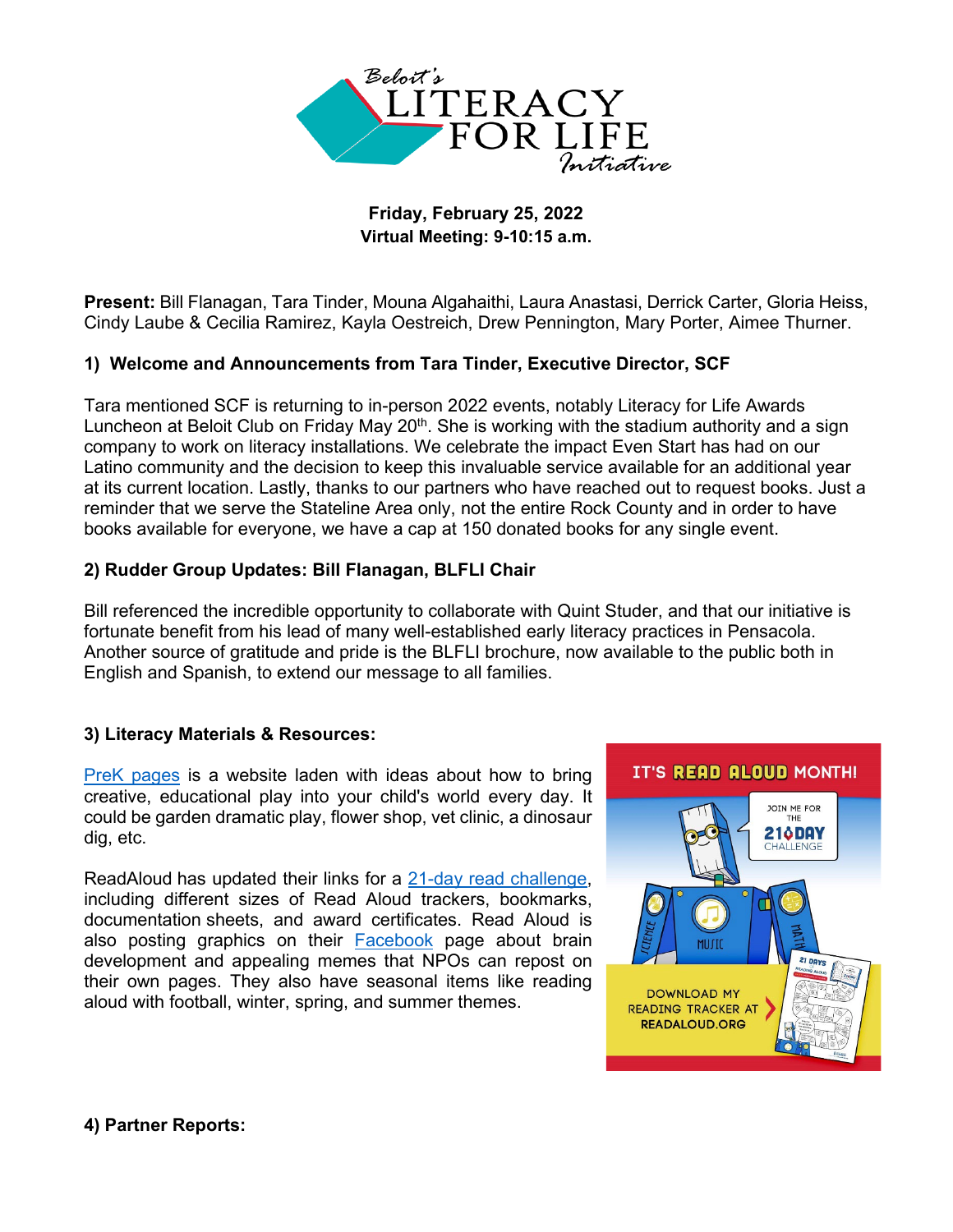

## **Friday, February 25, 2022 Virtual Meeting: 9-10:15 a.m.**

**Present:** Bill Flanagan, Tara Tinder, Mouna Algahaithi, Laura Anastasi, Derrick Carter, Gloria Heiss, Cindy Laube & Cecilia Ramirez, Kayla Oestreich, Drew Pennington, Mary Porter, Aimee Thurner.

## **1) Welcome and Announcements from Tara Tinder, Executive Director, SCF**

Tara mentioned SCF is returning to in-person 2022 events, notably Literacy for Life Awards Luncheon at Beloit Club on Friday May 20<sup>th</sup>. She is working with the stadium authority and a sign company to work on literacy installations. We celebrate the impact Even Start has had on our Latino community and the decision to keep this invaluable service available for an additional year at its current location. Lastly, thanks to our partners who have reached out to request books. Just a reminder that we serve the Stateline Area only, not the entire Rock County and in order to have books available for everyone, we have a cap at 150 donated books for any single event.

## **2) Rudder Group Updates: Bill Flanagan, BLFLI Chair**

Bill referenced the incredible opportunity to collaborate with Quint Studer, and that our initiative is fortunate benefit from his lead of many well-established early literacy practices in Pensacola. Another source of gratitude and pride is the BLFLI brochure, now available to the public both in English and Spanish, to extend our message to all families.

## **3) Literacy Materials & Resources:**

[PreK pages](https://www.pre-kpages.com/start-here/) is a website laden with ideas about how to bring creative, educational play into your child's world every day. It could be garden dramatic play, flower shop, vet clinic, a dinosaur dig, etc.

ReadAloud has updated their links for a [21-day read challenge,](https://www.readaloud.org/challenge_resources.html) including different sizes of Read Aloud trackers, bookmarks, documentation sheets, and award certificates. Read Aloud is also posting graphics on their **[Facebook](https://www.facebook.com/ReadAloud.org/)** page about brain development and appealing memes that NPOs can repost on their own pages. They also have seasonal items like reading aloud with football, winter, spring, and summer themes.